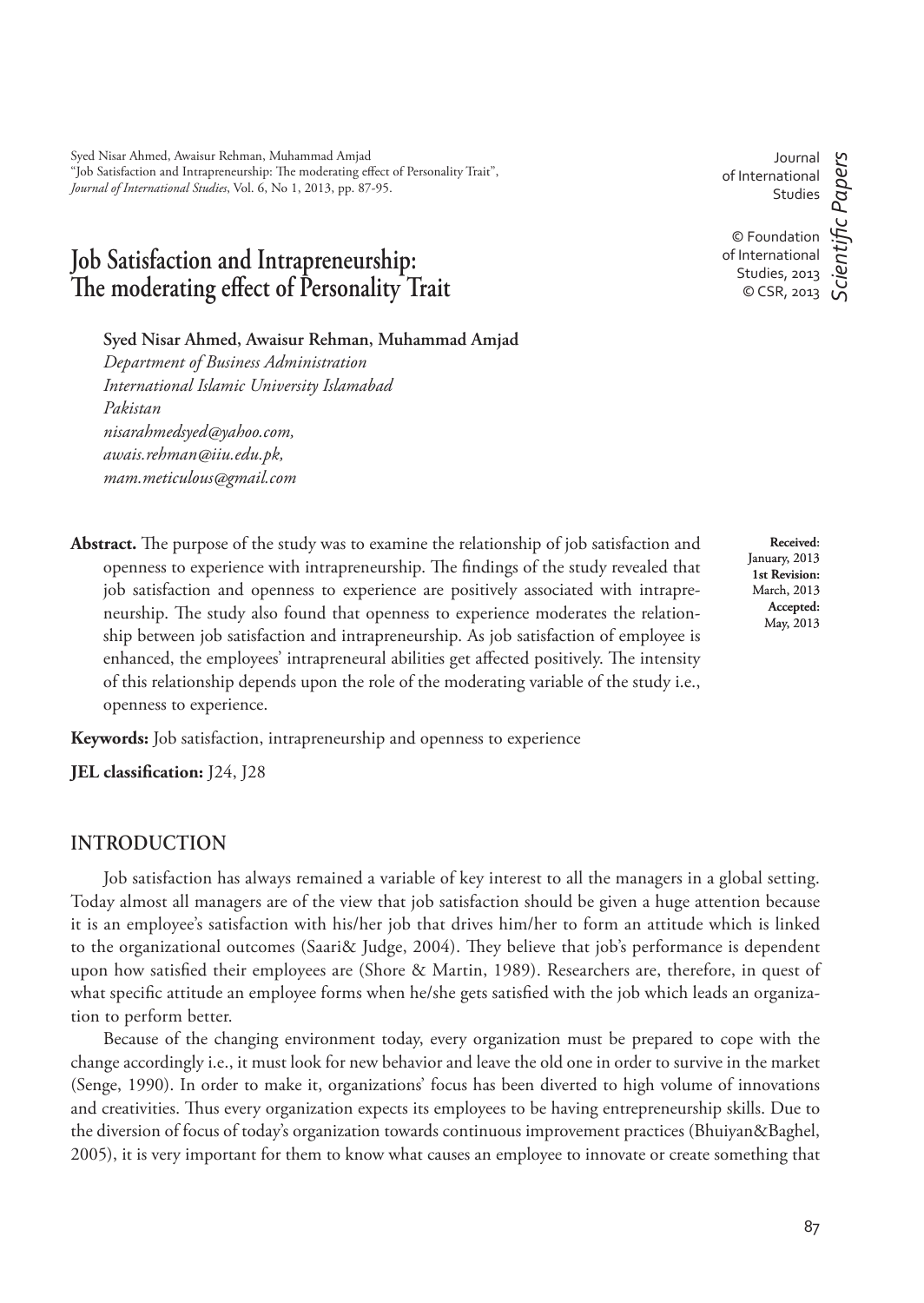Syed Nisar Ahmed, Awaisur Rehman, Muhammad Amjad "Job Satisfaction and Intrapreneurship: The moderating effect of Personality Trait", *Journal of International Studies*, Vol. 6, No 1, 2013, pp. 87-95.

# **Job Satisfaction and Intrapreneurship:**  The moderating effect of Personality Trait

**Syed Nisar Ahmed, Awaisur Rehman, Muhammad Amjad**

*Department of Business Administration International Islamic University Islamabad Pakistan nisarahmedsyed@yahoo.com, awais.rehman@iiu.edu.pk, mam.meticulous@gmail.com*

Journal of International Studies

Abstract. The purpose of the study was to examine the relationship of job satisfaction and openness to experience with intrapreneurship. The findings of the study revealed that job satisfaction and openness to experience are positively associated with intrapreneurship. The study also found that openness to experience moderates the relationship between job satisfaction and intrapreneurship. As job satisfaction of employee is enhanced, the employees' intrapreneural abilities get affected positively. The intensity of this relationship depends upon the role of the moderating variable of the study i.e., openness to experience.

**Keywords:** Job satisfaction, intrapreneurship and openness to experience

**JEL classification:** J24, J28

### **INTRODUCTION**

Job satisfaction has always remained a variable of key interest to all the managers in a global setting. Today almost all managers are of the view that job satisfaction should be given a huge attention because it is an employee's satisfaction with his/her job that drives him/her to form an attitude which is linked to the organizational outcomes (Saari& Judge, 2004). They believe that job's performance is dependent upon how satisfied their employees are (Shore & Martin, 1989). Researchers are, therefore, in quest of what specific attitude an employee forms when he/she gets satisfied with the job which leads an organization to perform better.

Because of the changing environment today, every organization must be prepared to cope with the change accordingly i.e., it must look for new behavior and leave the old one in order to survive in the market (Senge, 1990). In order to make it, organizations' focus has been diverted to high volume of innovations and creativities. Thus every organization expects its employees to be having entrepreneurship skills. Due to the diversion of focus of today's organization towards continuous improvement practices (Bhuiyan&Baghel, 2005), it is very important for them to know what causes an employee to innovate or create something that

**Received**: January, 2013 **1st Revision:**  March, 2013 **Accepted:**  May, 2013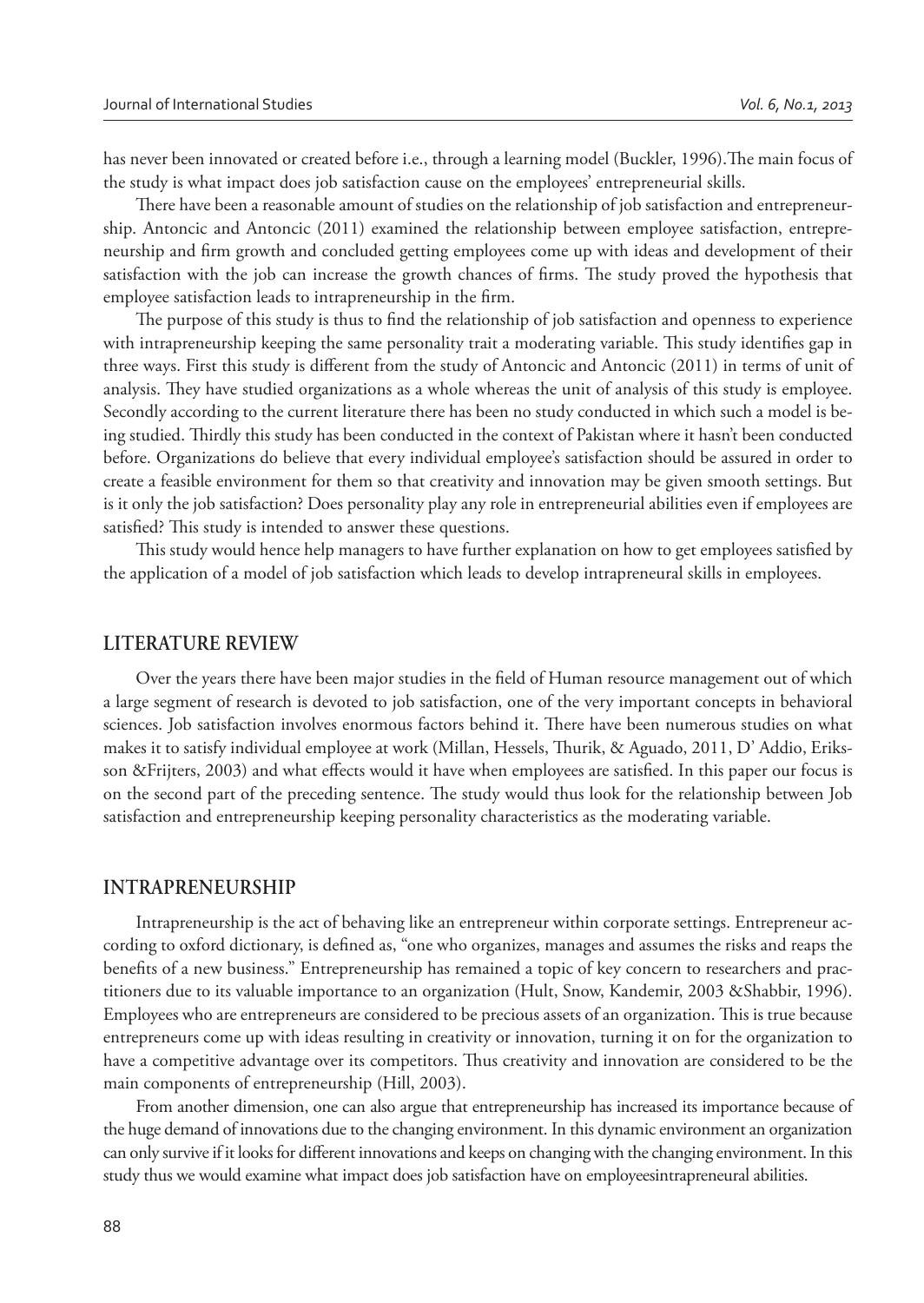has never been innovated or created before i.e., through a learning model (Buckler, 1996). The main focus of the study is what impact does job satisfaction cause on the employees' entrepreneurial skills.

There have been a reasonable amount of studies on the relationship of job satisfaction and entrepreneurship. Antoncic and Antoncic (2011) examined the relationship between employee satisfaction, entrepreneurship and firm growth and concluded getting employees come up with ideas and development of their satisfaction with the job can increase the growth chances of firms. The study proved the hypothesis that employee satisfaction leads to intrapreneurship in the firm.

The purpose of this study is thus to find the relationship of job satisfaction and openness to experience with intrapreneurship keeping the same personality trait a moderating variable. This study identifies gap in three ways. First this study is different from the study of Antoncic and Antoncic (2011) in terms of unit of analysis. They have studied organizations as a whole whereas the unit of analysis of this study is employee. Secondly according to the current literature there has been no study conducted in which such a model is being studied. Thirdly this study has been conducted in the context of Pakistan where it hasn't been conducted before. Organizations do believe that every individual employee's satisfaction should be assured in order to create a feasible environment for them so that creativity and innovation may be given smooth settings. But is it only the job satisfaction? Does personality play any role in entrepreneurial abilities even if employees are satisfied? This study is intended to answer these questions.

This study would hence help managers to have further explanation on how to get employees satisfied by the application of a model of job satisfaction which leads to develop intrapreneural skills in employees.

### **LITERATURE REVIEW**

Over the years there have been major studies in the field of Human resource management out of which a large segment of research is devoted to job satisfaction, one of the very important concepts in behavioral sciences. Job satisfaction involves enormous factors behind it. There have been numerous studies on what makes it to satisfy individual employee at work (Millan, Hessels, Thurik, & Aguado, 2011, D' Addio, Eriksson &Frijters, 2003) and what effects would it have when employees are satisfied. In this paper our focus is on the second part of the preceding sentence. The study would thus look for the relationship between Job satisfaction and entrepreneurship keeping personality characteristics as the moderating variable.

#### **INTRAPRENEURSHIP**

Intrapreneurship is the act of behaving like an entrepreneur within corporate settings. Entrepreneur according to oxford dictionary, is defined as, "one who organizes, manages and assumes the risks and reaps the benefits of a new business." Entrepreneurship has remained a topic of key concern to researchers and practitioners due to its valuable importance to an organization (Hult, Snow, Kandemir, 2003 &Shabbir, 1996). Employees who are entrepreneurs are considered to be precious assets of an organization. This is true because entrepreneurs come up with ideas resulting in creativity or innovation, turning it on for the organization to have a competitive advantage over its competitors. Thus creativity and innovation are considered to be the main components of entrepreneurship (Hill, 2003).

From another dimension, one can also argue that entrepreneurship has increased its importance because of the huge demand of innovations due to the changing environment. In this dynamic environment an organization can only survive if it looks for different innovations and keeps on changing with the changing environment. In this study thus we would examine what impact does job satisfaction have on employeesintrapreneural abilities.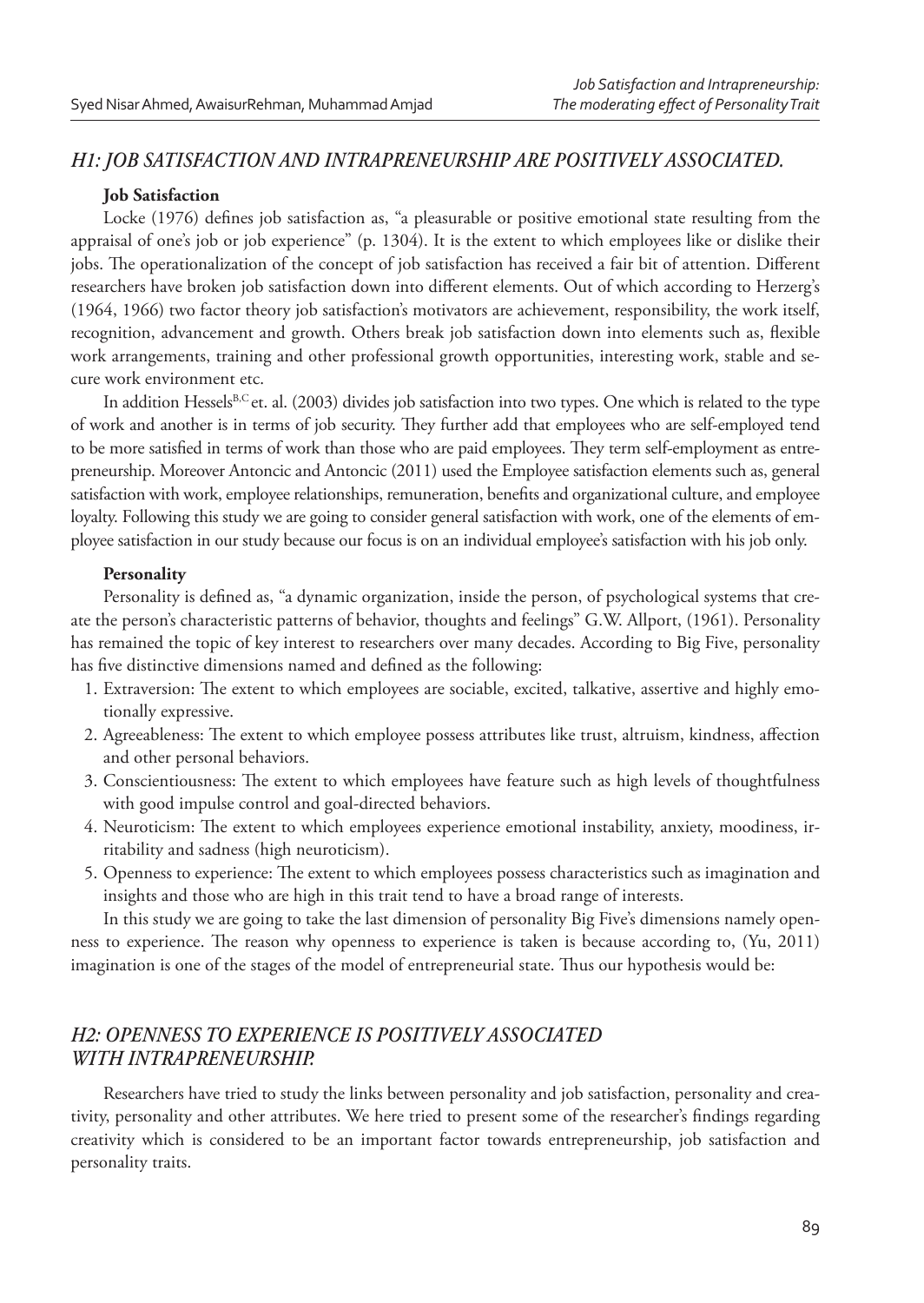### *H1: JOB SATISFACTION AND INTRAPRENEURSHIP ARE POSITIVELY ASSOCIATED.*

#### **Job Satisfaction**

Locke (1976) defines job satisfaction as, "a pleasurable or positive emotional state resulting from the appraisal of one's job or job experience" (p. 1304). It is the extent to which employees like or dislike their jobs. The operationalization of the concept of job satisfaction has received a fair bit of attention. Different researchers have broken job satisfaction down into different elements. Out of which according to Herzerg's (1964, 1966) two factor theory job satisfaction's motivators are achievement, responsibility, the work itself, recognition, advancement and growth. Others break job satisfaction down into elements such as, flexible work arrangements, training and other professional growth opportunities, interesting work, stable and secure work environment etc.

In addition Hessels<sup>B,C</sup> et. al. (2003) divides job satisfaction into two types. One which is related to the type of work and another is in terms of job security. They further add that employees who are self-employed tend to be more satisfied in terms of work than those who are paid employees. They term self-employment as entrepreneurship. Moreover Antoncic and Antoncic (2011) used the Employee satisfaction elements such as, general satisfaction with work, employee relationships, remuneration, benefits and organizational culture, and employee loyalty. Following this study we are going to consider general satisfaction with work, one of the elements of employee satisfaction in our study because our focus is on an individual employee's satisfaction with his job only.

#### **Personality**

Personality is defined as, "a dynamic organization, inside the person, of psychological systems that create the person's characteristic patterns of behavior, thoughts and feelings" G.W. Allport, (1961). Personality has remained the topic of key interest to researchers over many decades. According to Big Five, personality has five distinctive dimensions named and defined as the following:

- 1. Extraversion: The extent to which employees are sociable, excited, talkative, assertive and highly emotionally expressive.
- 2. Agreeableness: The extent to which employee possess attributes like trust, altruism, kindness, affection and other personal behaviors.
- 3. Conscientiousness: The extent to which employees have feature such as high levels of thoughtfulness with good impulse control and goal-directed behaviors.
- 4. Neuroticism: The extent to which employees experience emotional instability, anxiety, moodiness, irritability and sadness (high neuroticism).
- 5. Openness to experience: The extent to which employees possess characteristics such as imagination and insights and those who are high in this trait tend to have a broad range of interests.

In this study we are going to take the last dimension of personality Big Five's dimensions namely openness to experience. The reason why openness to experience is taken is because according to, (Yu, 2011) imagination is one of the stages of the model of entrepreneurial state. Thus our hypothesis would be:

# *H2: OPENNESS TO EXPERIENCE IS POSITIVELY ASSOCIATED WITH INTRAPRENEURSHIP.*

Researchers have tried to study the links between personality and job satisfaction, personality and creativity, personality and other attributes. We here tried to present some of the researcher's findings regarding creativity which is considered to be an important factor towards entrepreneurship, job satisfaction and personality traits.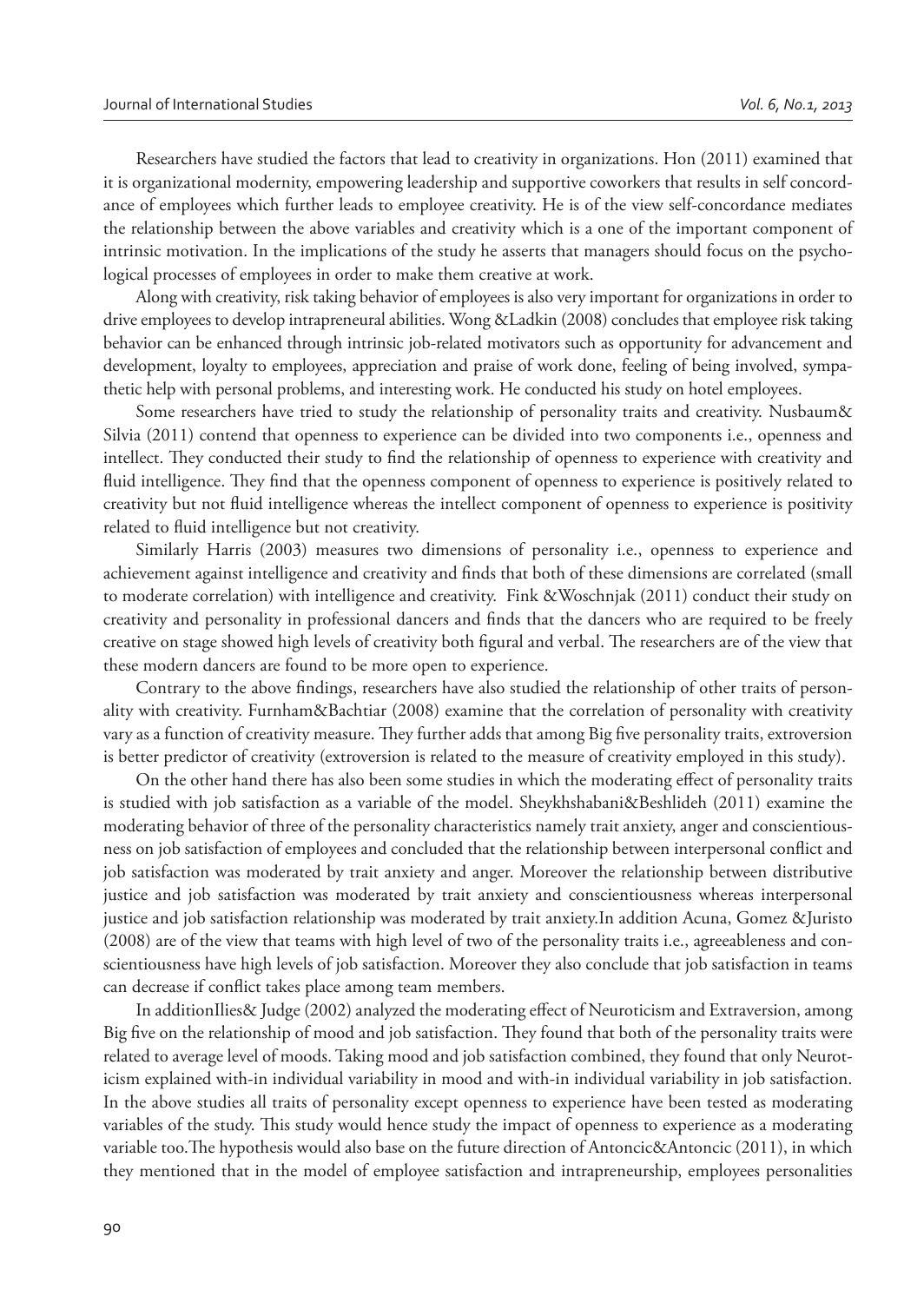Researchers have studied the factors that lead to creativity in organizations. Hon (2011) examined that it is organizational modernity, empowering leadership and supportive coworkers that results in self concordance of employees which further leads to employee creativity. He is of the view self-concordance mediates the relationship between the above variables and creativity which is a one of the important component of intrinsic motivation. In the implications of the study he asserts that managers should focus on the psychological processes of employees in order to make them creative at work.

Along with creativity, risk taking behavior of employees is also very important for organizations in order to drive employees to develop intrapreneural abilities. Wong &Ladkin (2008) concludes that employee risk taking behavior can be enhanced through intrinsic job-related motivators such as opportunity for advancement and development, loyalty to employees, appreciation and praise of work done, feeling of being involved, sympathetic help with personal problems, and interesting work. He conducted his study on hotel employees.

Some researchers have tried to study the relationship of personality traits and creativity. Nusbaum& Silvia (2011) contend that openness to experience can be divided into two components i.e., openness and intellect. They conducted their study to find the relationship of openness to experience with creativity and fluid intelligence. They find that the openness component of openness to experience is positively related to creativity but not fluid intelligence whereas the intellect component of openness to experience is positivity related to fluid intelligence but not creativity.

Similarly Harris (2003) measures two dimensions of personality i.e., openness to experience and achievement against intelligence and creativity and finds that both of these dimensions are correlated (small to moderate correlation) with intelligence and creativity. Fink &Woschnjak (2011) conduct their study on creativity and personality in professional dancers and finds that the dancers who are required to be freely creative on stage showed high levels of creativity both figural and verbal. The researchers are of the view that these modern dancers are found to be more open to experience.

Contrary to the above findings, researchers have also studied the relationship of other traits of personality with creativity. Furnham&Bachtiar (2008) examine that the correlation of personality with creativity vary as a function of creativity measure. They further adds that among Big five personality traits, extroversion is better predictor of creativity (extroversion is related to the measure of creativity employed in this study).

On the other hand there has also been some studies in which the moderating effect of personality traits is studied with job satisfaction as a variable of the model. Sheykhshabani&Beshlideh (2011) examine the moderating behavior of three of the personality characteristics namely trait anxiety, anger and conscientiousness on job satisfaction of employees and concluded that the relationship between interpersonal conflict and job satisfaction was moderated by trait anxiety and anger. Moreover the relationship between distributive justice and job satisfaction was moderated by trait anxiety and conscientiousness whereas interpersonal justice and job satisfaction relationship was moderated by trait anxiety.In addition Acuna, Gomez &Juristo (2008) are of the view that teams with high level of two of the personality traits i.e., agreeableness and conscientiousness have high levels of job satisfaction. Moreover they also conclude that job satisfaction in teams can decrease if conflict takes place among team members.

In additionIlies& Judge (2002) analyzed the moderating effect of Neuroticism and Extraversion, among Big five on the relationship of mood and job satisfaction. They found that both of the personality traits were related to average level of moods. Taking mood and job satisfaction combined, they found that only Neuroticism explained with-in individual variability in mood and with-in individual variability in job satisfaction. In the above studies all traits of personality except openness to experience have been tested as moderating variables of the study. This study would hence study the impact of openness to experience as a moderating variable too. The hypothesis would also base on the future direction of Antoncic&Antoncic (2011), in which they mentioned that in the model of employee satisfaction and intrapreneurship, employees personalities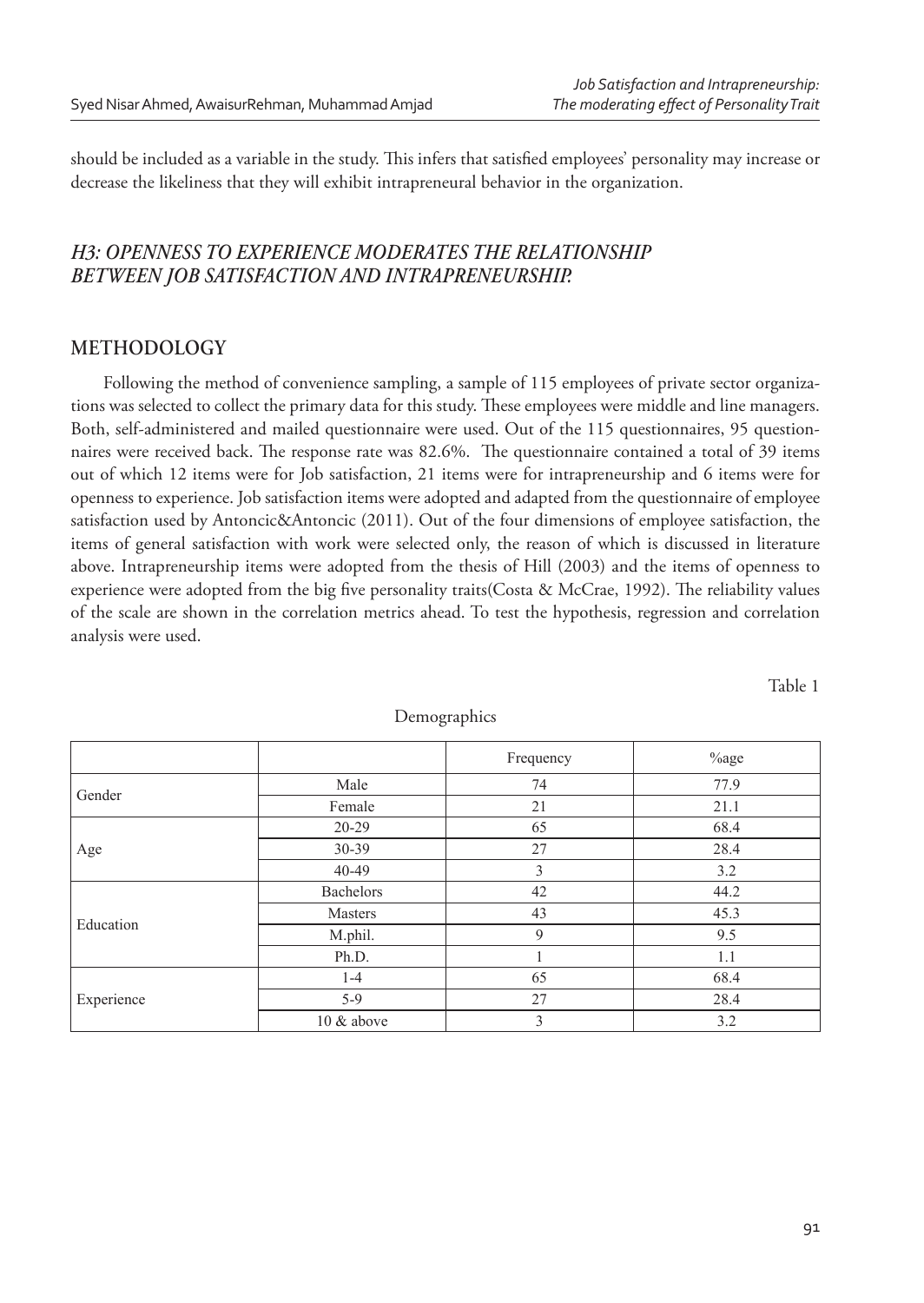should be included as a variable in the study. This infers that satisfied employees' personality may increase or decrease the likeliness that they will exhibit intrapreneural behavior in the organization.

# *H3: OPENNESS TO EXPERIENCE MODERATES THE RELATIONSHIP BETWEEN JOB SATISFACTION AND INTRAPRENEURSHIP.*

### **METHODOLOGY**

Following the method of convenience sampling, a sample of 115 employees of private sector organizations was selected to collect the primary data for this study. These employees were middle and line managers. Both, self-administered and mailed questionnaire were used. Out of the 115 questionnaires, 95 questionnaires were received back. The response rate was 82.6%. The questionnaire contained a total of 39 items out of which 12 items were for Job satisfaction, 21 items were for intrapreneurship and 6 items were for openness to experience. Job satisfaction items were adopted and adapted from the questionnaire of employee satisfaction used by Antoncic&Antoncic (2011). Out of the four dimensions of employee satisfaction, the items of general satisfaction with work were selected only, the reason of which is discussed in literature above. Intrapreneurship items were adopted from the thesis of Hill (2003) and the items of openness to experience were adopted from the big five personality traits(Costa & McCrae, 1992). The reliability values of the scale are shown in the correlation metrics ahead. To test the hypothesis, regression and correlation analysis were used.

|            |            | Frequency | $%$ age |
|------------|------------|-----------|---------|
| Gender     | Male       | 74        | 77.9    |
|            | Female     | 21        | 21.1    |
| Age        | $20 - 29$  | 65        | 68.4    |
|            | 30-39      | 27        | 28.4    |
|            | $40 - 49$  | 3         | 3.2     |
| Education  | Bachelors  | 42        | 44.2    |
|            | Masters    | 43        | 45.3    |
|            | M.phil.    | 9         | 9.5     |
|            | Ph.D.      |           | 1.1     |
| Experience | $1 - 4$    | 65        | 68.4    |
|            | $5-9$      | 27        | 28.4    |
|            | 10 & above | 3         | 3.2     |

Demographics

Table 1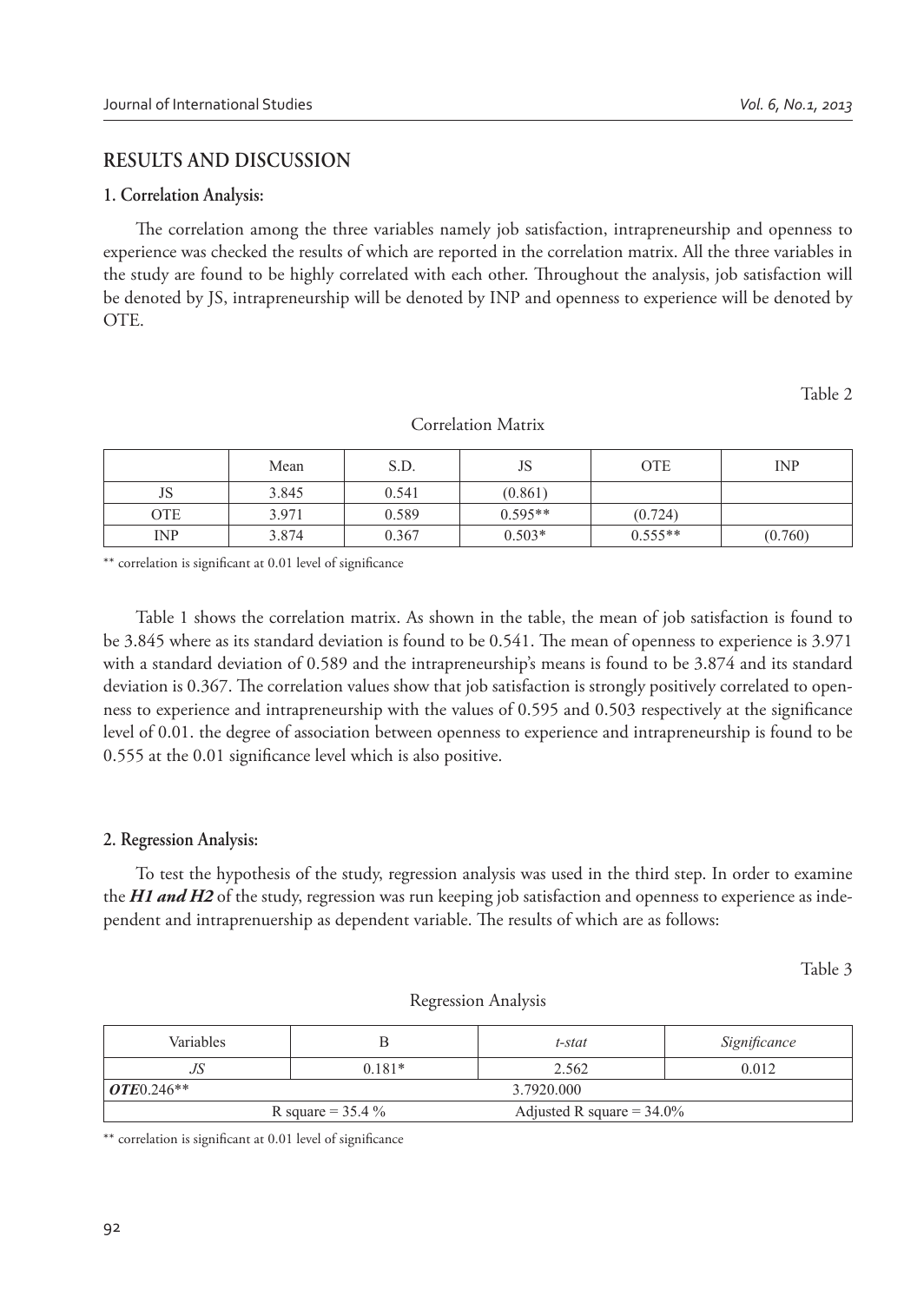## **RESULTS AND DISCUSSION**

#### **1. Correlation Analysis:**

The correlation among the three variables namely job satisfaction, intrapreneurship and openness to experience was checked the results of which are reported in the correlation matrix. All the three variables in the study are found to be highly correlated with each other. Throughout the analysis, job satisfaction will be denoted by JS, intrapreneurship will be denoted by INP and openness to experience will be denoted by OTE.

Table 2

|            | Mean  | S.D.  | JS        | <b>OTE</b> | <b>INP</b> |
|------------|-------|-------|-----------|------------|------------|
| JS         | 3.845 | 0.541 | (0.861)   |            |            |
| OTE        | 3.971 | 0.589 | $0.595**$ | (0.724)    |            |
| <b>INP</b> | 3.874 | 0.367 | $0.503*$  | $0.555**$  | (0.760)    |

Correlation Matrix

\*\* correlation is significant at 0.01 level of significance

Table 1 shows the correlation matrix. As shown in the table, the mean of job satisfaction is found to be 3.845 where as its standard deviation is found to be 0.541. The mean of openness to experience is 3.971 with a standard deviation of 0.589 and the intrapreneurship's means is found to be 3.874 and its standard deviation is 0.367. The correlation values show that job satisfaction is strongly positively correlated to openness to experience and intrapreneurship with the values of 0.595 and 0.503 respectively at the significance level of 0.01. the degree of association between openness to experience and intrapreneurship is found to be 0.555 at the 0.01 significance level which is also positive.

### **2. Regression Analysis:**

To test the hypothesis of the study, regression analysis was used in the third step. In order to examine the *H1 and H2* of the study, regression was run keeping job satisfaction and openness to experience as independent and intraprenuership as dependent variable. The results of which are as follows:

Table 3

| <b>Variables</b>     |          | t-stat                       | Significance |
|----------------------|----------|------------------------------|--------------|
| JS                   | $0.181*$ | 2.562                        | 0.012        |
| $OTE 0.246**$        |          | 3.7920.000                   |              |
| R square = $35.4 \%$ |          | Adjusted R square = $34.0\%$ |              |

Regression Analysis

\*\* correlation is significant at 0.01 level of significance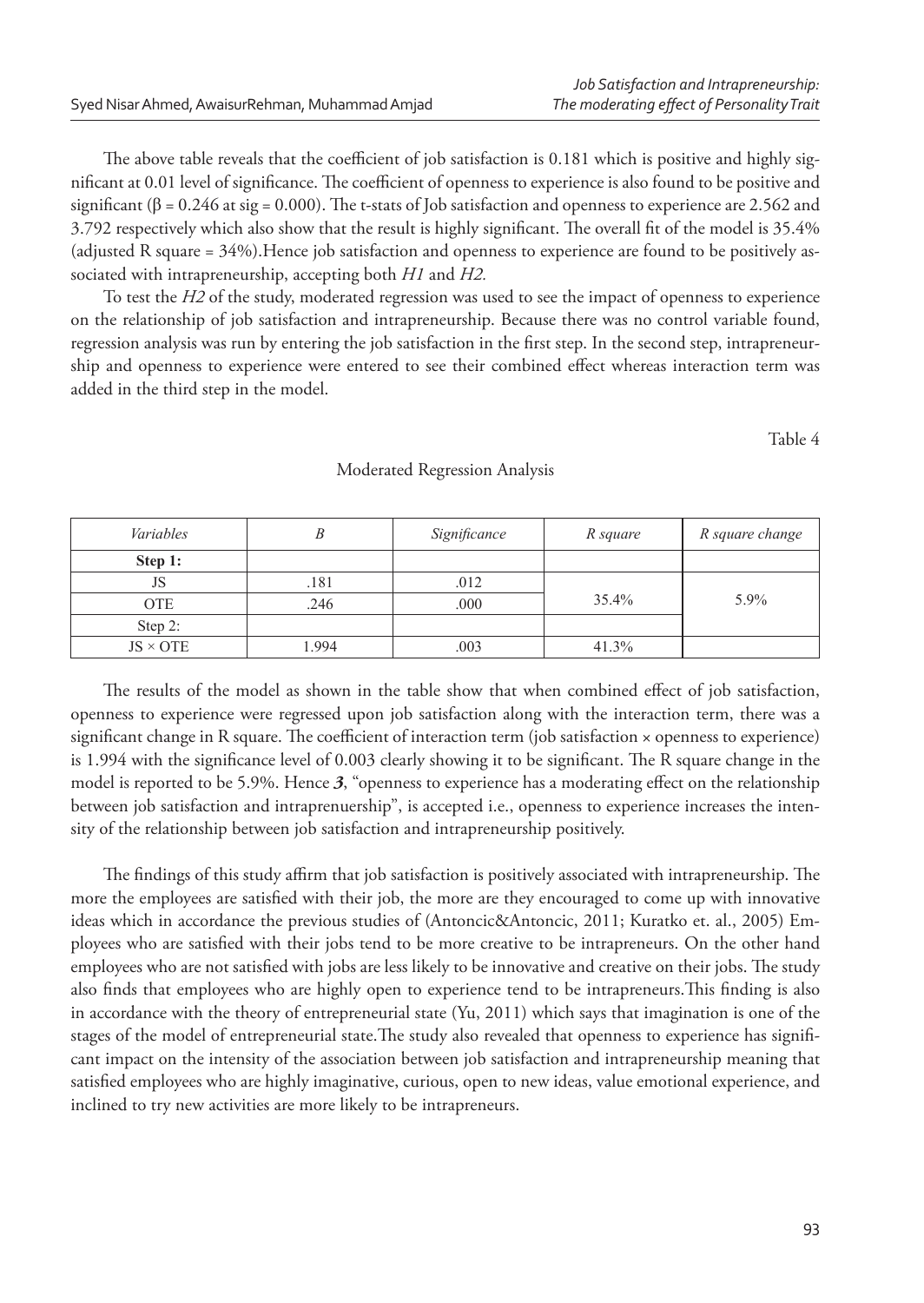The above table reveals that the coefficient of job satisfaction is 0.181 which is positive and highly significant at 0.01 level of significance. The coefficient of openness to experience is also found to be positive and significant ( $\beta$  = 0.246 at sig = 0.000). The t-stats of Job satisfaction and openness to experience are 2.562 and 3.792 respectively which also show that the result is highly significant. The overall fit of the model is 35.4% (adjusted R square = 34%).Hence job satisfaction and openness to experience are found to be positively associated with intrapreneurship, accepting both *H1* and *H2.*

To test the *H2* of the study, moderated regression was used to see the impact of openness to experience on the relationship of job satisfaction and intrapreneurship. Because there was no control variable found, regression analysis was run by entering the job satisfaction in the first step. In the second step, intrapreneurship and openness to experience were entered to see their combined effect whereas interaction term was added in the third step in the model.

Table 4

| Variables       |      | Significance | R square | R square change |
|-----------------|------|--------------|----------|-----------------|
| Step 1:         |      |              |          |                 |
| JS              | .181 | .012         |          |                 |
| <b>OTE</b>      | .246 | .000         | 35.4%    | 5.9%            |
| Step 2:         |      |              |          |                 |
| $JS \times OTE$ | .994 | .003         | 41.3%    |                 |

#### Moderated Regression Analysis

The results of the model as shown in the table show that when combined effect of job satisfaction, openness to experience were regressed upon job satisfaction along with the interaction term, there was a significant change in R square. The coefficient of interaction term (job satisfaction  $\times$  openness to experience) is 1.994 with the significance level of 0.003 clearly showing it to be significant. The R square change in the model is reported to be 5.9%. Hence 3, "openness to experience has a moderating effect on the relationship between job satisfaction and intraprenuership", is accepted i.e., openness to experience increases the intensity of the relationship between job satisfaction and intrapreneurship positively.

The findings of this study affirm that job satisfaction is positively associated with intrapreneurship. The more the employees are satisfied with their job, the more are they encouraged to come up with innovative ideas which in accordance the previous studies of (Antoncic&Antoncic, 2011; Kuratko et. al., 2005) Employees who are satisfied with their jobs tend to be more creative to be intrapreneurs. On the other hand employees who are not satisfied with jobs are less likely to be innovative and creative on their jobs. The study also finds that employees who are highly open to experience tend to be intrapreneurs. This finding is also in accordance with the theory of entrepreneurial state (Yu, 2011) which says that imagination is one of the stages of the model of entrepreneurial state. The study also revealed that openness to experience has significant impact on the intensity of the association between job satisfaction and intrapreneurship meaning that satisfied employees who are highly imaginative, curious, open to new ideas, value emotional experience, and inclined to try new activities are more likely to be intrapreneurs.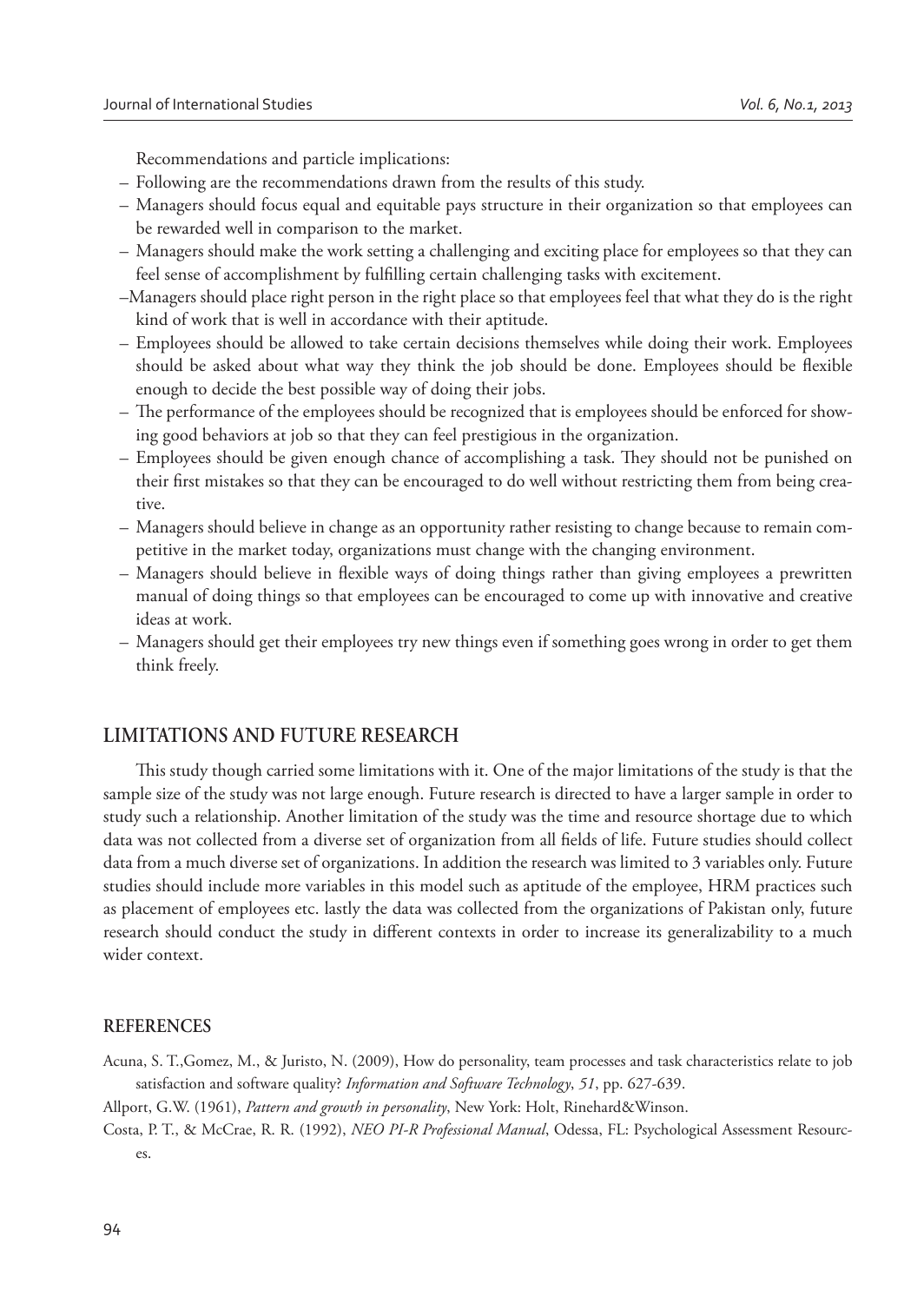Recommendations and particle implications:

- Following are the recommendations drawn from the results of this study.
- Managers should focus equal and equitable pays structure in their organization so that employees can be rewarded well in comparison to the market.
- Managers should make the work setting a challenging and exciting place for employees so that they can feel sense of accomplishment by fulfilling certain challenging tasks with excitement.
- –Managers should place right person in the right place so that employees feel that what they do is the right kind of work that is well in accordance with their aptitude.
- Employees should be allowed to take certain decisions themselves while doing their work. Employees should be asked about what way they think the job should be done. Employees should be flexible enough to decide the best possible way of doing their jobs.
- The performance of the employees should be recognized that is employees should be enforced for showing good behaviors at job so that they can feel prestigious in the organization.
- Employees should be given enough chance of accomplishing a task. They should not be punished on their first mistakes so that they can be encouraged to do well without restricting them from being creative.
- Managers should believe in change as an opportunity rather resisting to change because to remain competitive in the market today, organizations must change with the changing environment.
- Managers should believe in flexible ways of doing things rather than giving employees a prewritten manual of doing things so that employees can be encouraged to come up with innovative and creative ideas at work.
- Managers should get their employees try new things even if something goes wrong in order to get them think freely.

### **LIMITATIONS AND FUTURE RESEARCH**

This study though carried some limitations with it. One of the major limitations of the study is that the sample size of the study was not large enough. Future research is directed to have a larger sample in order to study such a relationship. Another limitation of the study was the time and resource shortage due to which data was not collected from a diverse set of organization from all fields of life. Future studies should collect data from a much diverse set of organizations. In addition the research was limited to 3 variables only. Future studies should include more variables in this model such as aptitude of the employee, HRM practices such as placement of employees etc. lastly the data was collected from the organizations of Pakistan only, future research should conduct the study in different contexts in order to increase its generalizability to a much wider context.

### **REFERENCES**

Acuna, S. T.,Gomez, M., & Juristo, N. (2009), How do personality, team processes and task characteristics relate to job satisfaction and software quality? *Information and Software Technology*, *51*, pp. 627-639.

Allport, G.W. (1961), *Pattern and growth in personality*, New York: Holt, Rinehard&Winson.

Costa, P. T., & McCrae, R. R. (1992), *NEO PI-R Professional Manual*, Odessa, FL: Psychological Assessment Resources.